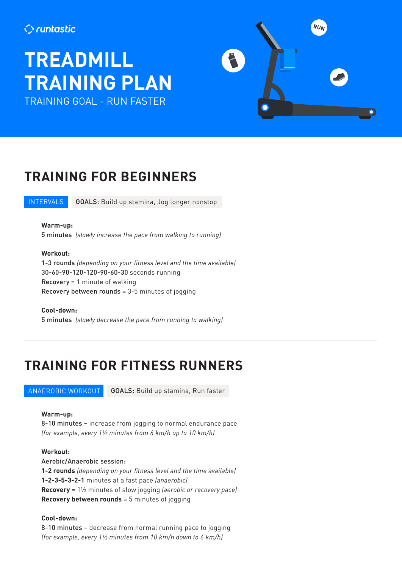### **C**runtastic

# **TREADMILL TRAINING PLAN** TRAINING GOAL - RUN FASTER



### **TRAINING FOR BEGINNERS**

**INTERVALS** GOALS: Build up stamina, Jog longer nonstop

#### **Warm-up:**

5 minutes *(slowly increase the pace from walking to running)*

#### **Workout:**

1-3 rounds *(depending on your fitness level and the time available)* 30-60-90-120-120-90-60-30 seconds running Recovery = 1 minute of walking Recovery between rounds = 3-5 minutes of jogging

**Cool-down:**  5 minutes *(slowly decrease the pace from running to walking)*

### **TRAINING FOR FITNESS RUNNERS**

#### ANAEROBIC WORKOUT

GOALS: Build up stamina, Run faster

#### **Warm-up:**

8-10 minutes – increase from jogging to normal endurance pace *(for example, every 1½ minutes from 6 km/h up to 10 km/h)*

**Workout:** Aerobic/Anaerobic session: **1-2 rounds** *(depending on your fitness level and the time available)* **1-2-3-5-3-2-1** minutes at a fast pace *(anaerobic)* **Recovery** = 1½ minutes of slow jogging *(aerobic or recovery pace)* **Recovery between rounds** = 5 minutes of jogging

#### **Cool-down:**

8-10 minutes – decrease from normal running pace to jogging *(for example, every 1½ minutes from 10 km/h down to 6 km/h)*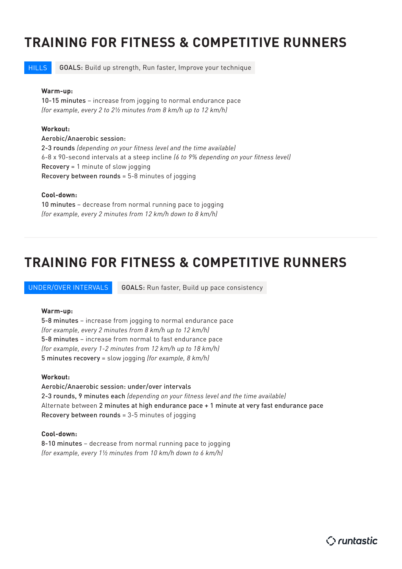### **TRAINING FOR FITNESS & COMPETITIVE RUNNERS**

**HILLS** GOALS: Build up strength, Run faster, Improve your technique

#### **Warm-up:**

10-15 minutes – increase from jogging to normal endurance pace *(for example, every 2 to 2½ minutes from 8 km/h up to 12 km/h)*

#### **Workout:**

#### Aerobic/Anaerobic session:

2-3 rounds *(depending on your fitness level and the time available)* 6-8 x 90-second intervals at a steep incline *(6 to 9% depending on your fitness level)*  Recovery = 1 minute of slow jogging Recovery between rounds = 5-8 minutes of jogging

#### **Cool-down:**

10 minutes – decrease from normal running pace to jogging *(for example, every 2 minutes from 12 km/h down to 8 km/h)*

### **TRAINING FOR FITNESS & COMPETITIVE RUNNERS**

UNDER/OVER INTERVALS GOALS: Run faster, Build up pace consistency

#### **Warm-up:**

5-8 minutes – increase from jogging to normal endurance pace *(for example, every 2 minutes from 8 km/h up to 12 km/h)* 5-8 minutes – increase from normal to fast endurance pace *(for example, every 1-2 minutes from 12 km/h up to 18 km/h)* 5 minutes recovery = slow jogging *(for example, 8 km/h)*

#### **Workout:**

Aerobic/Anaerobic session: under/over intervals 2-3 rounds, 9 minutes each *(depending on your fitness level and the time available)* Alternate between 2 minutes at high endurance pace + 1 minute at very fast endurance pace Recovery between rounds = 3-5 minutes of jogging

#### **Cool-down:**

8-10 minutes – decrease from normal running pace to jogging *(for example, every 1½ minutes from 10 km/h down to 6 km/h)*